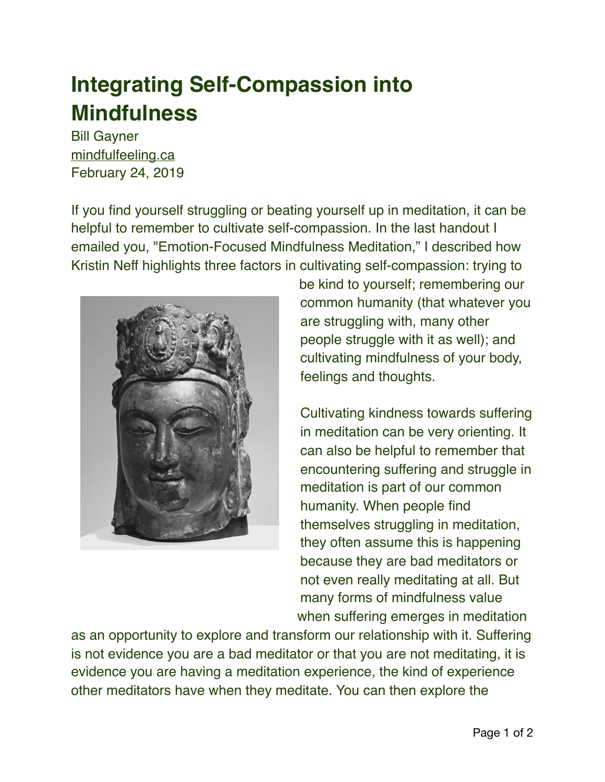## **Integrating Self-Compassion into Mindfulness**

Bill Gayner [mindfulfeeling.ca](https://mindfulfeeling.ca/integrating-self-compassion-into-your-mindfulness-practice/) February 24, 2019

If you find yourself struggling or beating yourself up in meditation, it can be helpful to remember to cultivate self-compassion. In the last handout I emailed you, "Emotion-Focused Mindfulness Meditation," I described how Kristin Neff highlights three factors in cultivating self-compassion: trying to



be kind to yourself; remembering our common humanity (that whatever you are struggling with, many other people struggle with it as well); and cultivating mindfulness of your body, feelings and thoughts.

Cultivating kindness towards suffering in meditation can be very orienting. It can also be helpful to remember that encountering suffering and struggle in meditation is part of our common humanity. When people find themselves struggling in meditation, they often assume this is happening because they are bad meditators or not even really meditating at all. But many forms of mindfulness value when suffering emerges in meditation

as an opportunity to explore and transform our relationship with it. Suffering is not evidence you are a bad meditator or that you are not meditating, it is evidence you are having a meditation experience, the kind of experience other meditators have when they meditate. You can then explore the